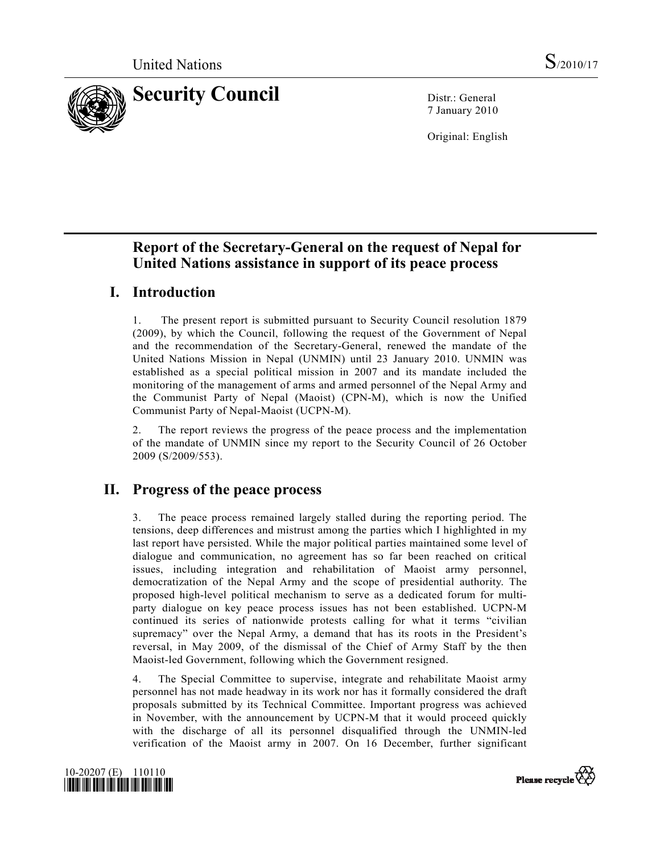

7 January 2010

Original: English

# **Report of the Secretary-General on the request of Nepal for United Nations assistance in support of its peace process**

# **I. Introduction**

1. The present report is submitted pursuant to Security Council resolution 1879 (2009), by which the Council, following the request of the Government of Nepal and the recommendation of the Secretary-General, renewed the mandate of the United Nations Mission in Nepal (UNMIN) until 23 January 2010. UNMIN was established as a special political mission in 2007 and its mandate included the monitoring of the management of arms and armed personnel of the Nepal Army and the Communist Party of Nepal (Maoist) (CPN-M), which is now the Unified Communist Party of Nepal-Maoist (UCPN-M).

2. The report reviews the progress of the peace process and the implementation of the mandate of UNMIN since my report to the Security Council of 26 October 2009 (S/2009/553).

### **II. Progress of the peace process**

3. The peace process remained largely stalled during the reporting period. The tensions, deep differences and mistrust among the parties which I highlighted in my last report have persisted. While the major political parties maintained some level of dialogue and communication, no agreement has so far been reached on critical issues, including integration and rehabilitation of Maoist army personnel, democratization of the Nepal Army and the scope of presidential authority. The proposed high-level political mechanism to serve as a dedicated forum for multiparty dialogue on key peace process issues has not been established. UCPN-M continued its series of nationwide protests calling for what it terms "civilian supremacy" over the Nepal Army, a demand that has its roots in the President's reversal, in May 2009, of the dismissal of the Chief of Army Staff by the then Maoist-led Government, following which the Government resigned.

4. The Special Committee to supervise, integrate and rehabilitate Maoist army personnel has not made headway in its work nor has it formally considered the draft proposals submitted by its Technical Committee. Important progress was achieved in November, with the announcement by UCPN-M that it would proceed quickly with the discharge of all its personnel disqualified through the UNMIN-led verification of the Maoist army in 2007. On 16 December, further significant



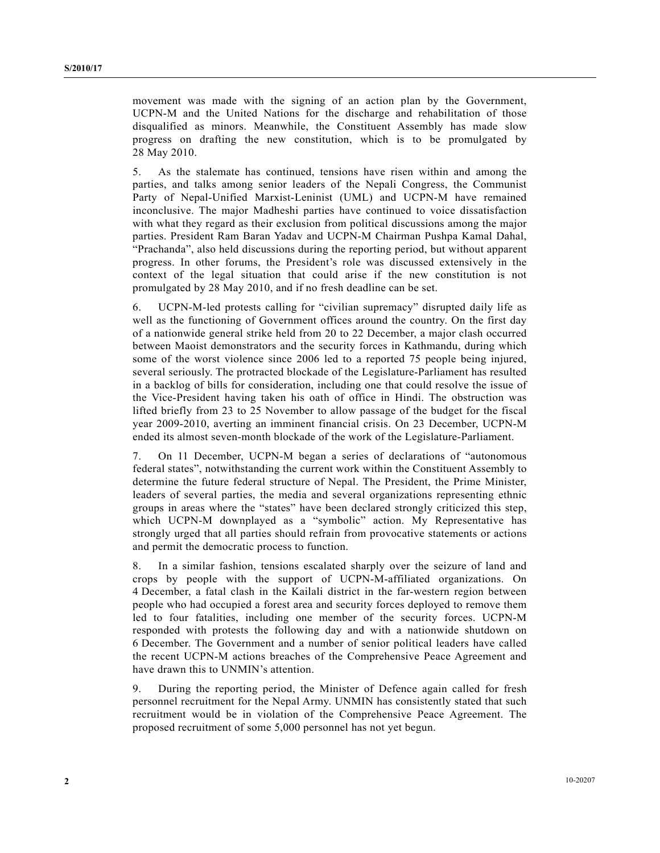movement was made with the signing of an action plan by the Government, UCPN-M and the United Nations for the discharge and rehabilitation of those disqualified as minors. Meanwhile, the Constituent Assembly has made slow progress on drafting the new constitution, which is to be promulgated by 28 May 2010.

5. As the stalemate has continued, tensions have risen within and among the parties, and talks among senior leaders of the Nepali Congress, the Communist Party of Nepal-Unified Marxist-Leninist (UML) and UCPN-M have remained inconclusive. The major Madheshi parties have continued to voice dissatisfaction with what they regard as their exclusion from political discussions among the major parties. President Ram Baran Yadav and UCPN-M Chairman Pushpa Kamal Dahal, "Prachanda", also held discussions during the reporting period, but without apparent progress. In other forums, the President's role was discussed extensively in the context of the legal situation that could arise if the new constitution is not promulgated by 28 May 2010, and if no fresh deadline can be set.

6. UCPN-M-led protests calling for "civilian supremacy" disrupted daily life as well as the functioning of Government offices around the country. On the first day of a nationwide general strike held from 20 to 22 December, a major clash occurred between Maoist demonstrators and the security forces in Kathmandu, during which some of the worst violence since 2006 led to a reported 75 people being injured, several seriously. The protracted blockade of the Legislature-Parliament has resulted in a backlog of bills for consideration, including one that could resolve the issue of the Vice-President having taken his oath of office in Hindi. The obstruction was lifted briefly from 23 to 25 November to allow passage of the budget for the fiscal year 2009-2010, averting an imminent financial crisis. On 23 December, UCPN-M ended its almost seven-month blockade of the work of the Legislature-Parliament.

7. On 11 December, UCPN-M began a series of declarations of "autonomous federal states", notwithstanding the current work within the Constituent Assembly to determine the future federal structure of Nepal. The President, the Prime Minister, leaders of several parties, the media and several organizations representing ethnic groups in areas where the "states" have been declared strongly criticized this step, which UCPN-M downplayed as a "symbolic" action. My Representative has strongly urged that all parties should refrain from provocative statements or actions and permit the democratic process to function.

8. In a similar fashion, tensions escalated sharply over the seizure of land and crops by people with the support of UCPN-M-affiliated organizations. On 4 December, a fatal clash in the Kailali district in the far-western region between people who had occupied a forest area and security forces deployed to remove them led to four fatalities, including one member of the security forces. UCPN-M responded with protests the following day and with a nationwide shutdown on 6 December. The Government and a number of senior political leaders have called the recent UCPN-M actions breaches of the Comprehensive Peace Agreement and have drawn this to UNMIN's attention.

9. During the reporting period, the Minister of Defence again called for fresh personnel recruitment for the Nepal Army. UNMIN has consistently stated that such recruitment would be in violation of the Comprehensive Peace Agreement. The proposed recruitment of some 5,000 personnel has not yet begun.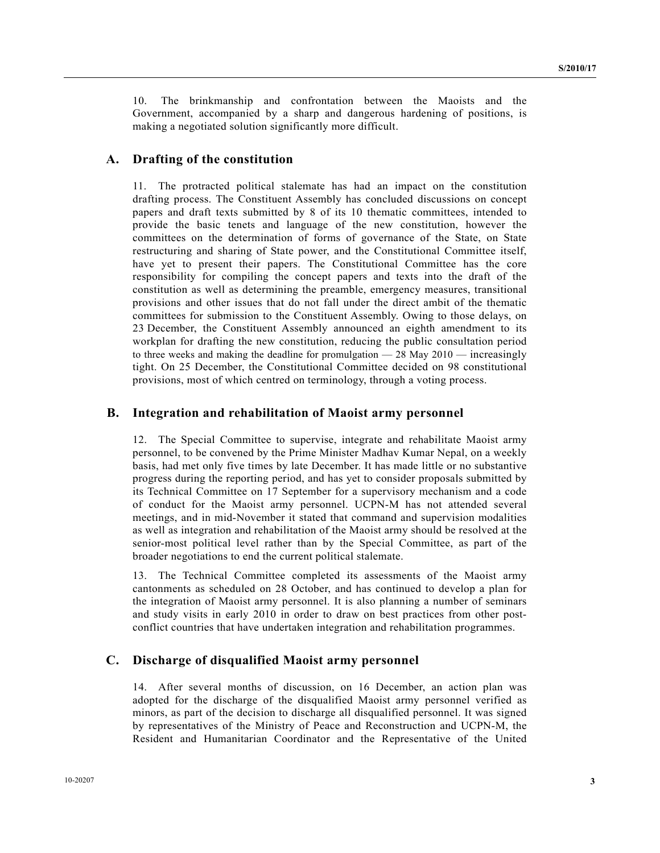10. The brinkmanship and confrontation between the Maoists and the Government, accompanied by a sharp and dangerous hardening of positions, is making a negotiated solution significantly more difficult.

#### **A. Drafting of the constitution**

11. The protracted political stalemate has had an impact on the constitution drafting process. The Constituent Assembly has concluded discussions on concept papers and draft texts submitted by 8 of its 10 thematic committees, intended to provide the basic tenets and language of the new constitution, however the committees on the determination of forms of governance of the State, on State restructuring and sharing of State power, and the Constitutional Committee itself, have yet to present their papers. The Constitutional Committee has the core responsibility for compiling the concept papers and texts into the draft of the constitution as well as determining the preamble, emergency measures, transitional provisions and other issues that do not fall under the direct ambit of the thematic committees for submission to the Constituent Assembly. Owing to those delays, on 23 December, the Constituent Assembly announced an eighth amendment to its workplan for drafting the new constitution, reducing the public consultation period to three weeks and making the deadline for promulgation  $-28$  May 2010  $-$  increasingly tight. On 25 December, the Constitutional Committee decided on 98 constitutional provisions, most of which centred on terminology, through a voting process.

#### **B. Integration and rehabilitation of Maoist army personnel**

12. The Special Committee to supervise, integrate and rehabilitate Maoist army personnel, to be convened by the Prime Minister Madhav Kumar Nepal, on a weekly basis, had met only five times by late December. It has made little or no substantive progress during the reporting period, and has yet to consider proposals submitted by its Technical Committee on 17 September for a supervisory mechanism and a code of conduct for the Maoist army personnel. UCPN-M has not attended several meetings, and in mid-November it stated that command and supervision modalities as well as integration and rehabilitation of the Maoist army should be resolved at the senior-most political level rather than by the Special Committee, as part of the broader negotiations to end the current political stalemate.

13. The Technical Committee completed its assessments of the Maoist army cantonments as scheduled on 28 October, and has continued to develop a plan for the integration of Maoist army personnel. It is also planning a number of seminars and study visits in early 2010 in order to draw on best practices from other postconflict countries that have undertaken integration and rehabilitation programmes.

#### **C. Discharge of disqualified Maoist army personnel**

14. After several months of discussion, on 16 December, an action plan was adopted for the discharge of the disqualified Maoist army personnel verified as minors, as part of the decision to discharge all disqualified personnel. It was signed by representatives of the Ministry of Peace and Reconstruction and UCPN-M, the Resident and Humanitarian Coordinator and the Representative of the United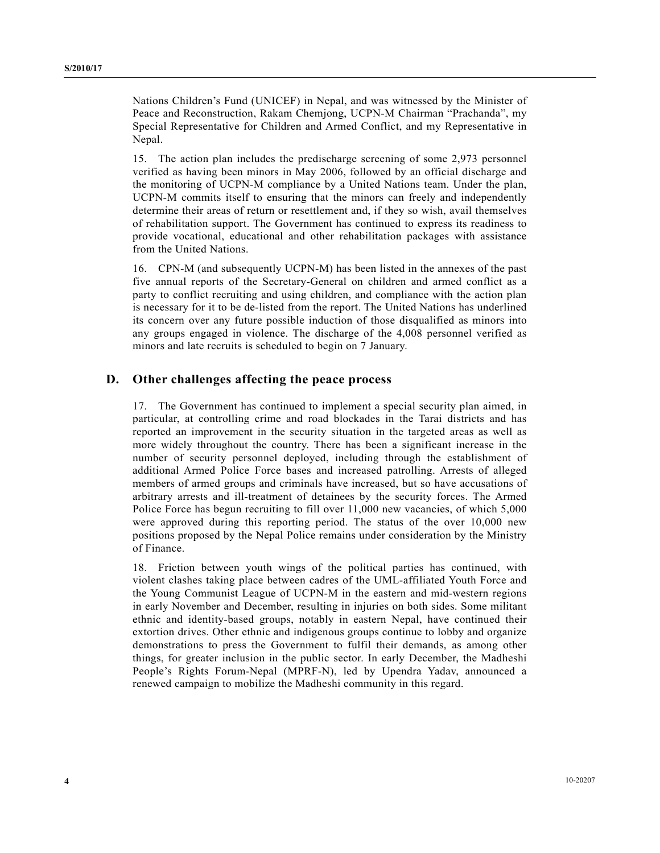Nations Children's Fund (UNICEF) in Nepal, and was witnessed by the Minister of Peace and Reconstruction, Rakam Chemjong, UCPN-M Chairman "Prachanda", my Special Representative for Children and Armed Conflict, and my Representative in Nepal.

15. The action plan includes the predischarge screening of some 2,973 personnel verified as having been minors in May 2006, followed by an official discharge and the monitoring of UCPN-M compliance by a United Nations team. Under the plan, UCPN-M commits itself to ensuring that the minors can freely and independently determine their areas of return or resettlement and, if they so wish, avail themselves of rehabilitation support. The Government has continued to express its readiness to provide vocational, educational and other rehabilitation packages with assistance from the United Nations.

16. CPN-M (and subsequently UCPN-M) has been listed in the annexes of the past five annual reports of the Secretary-General on children and armed conflict as a party to conflict recruiting and using children, and compliance with the action plan is necessary for it to be de-listed from the report. The United Nations has underlined its concern over any future possible induction of those disqualified as minors into any groups engaged in violence. The discharge of the 4,008 personnel verified as minors and late recruits is scheduled to begin on 7 January.

### **D. Other challenges affecting the peace process**

17. The Government has continued to implement a special security plan aimed, in particular, at controlling crime and road blockades in the Tarai districts and has reported an improvement in the security situation in the targeted areas as well as more widely throughout the country. There has been a significant increase in the number of security personnel deployed, including through the establishment of additional Armed Police Force bases and increased patrolling. Arrests of alleged members of armed groups and criminals have increased, but so have accusations of arbitrary arrests and ill-treatment of detainees by the security forces. The Armed Police Force has begun recruiting to fill over 11,000 new vacancies, of which 5,000 were approved during this reporting period. The status of the over 10,000 new positions proposed by the Nepal Police remains under consideration by the Ministry of Finance.

18. Friction between youth wings of the political parties has continued, with violent clashes taking place between cadres of the UML-affiliated Youth Force and the Young Communist League of UCPN-M in the eastern and mid-western regions in early November and December, resulting in injuries on both sides. Some militant ethnic and identity-based groups, notably in eastern Nepal, have continued their extortion drives. Other ethnic and indigenous groups continue to lobby and organize demonstrations to press the Government to fulfil their demands, as among other things, for greater inclusion in the public sector. In early December, the Madheshi People's Rights Forum-Nepal (MPRF-N), led by Upendra Yadav, announced a renewed campaign to mobilize the Madheshi community in this regard.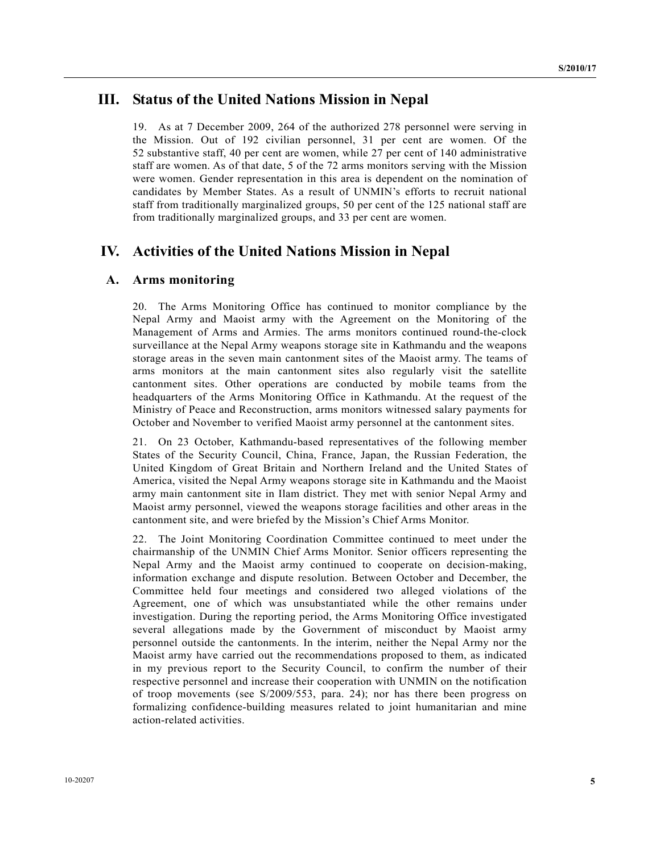## **III. Status of the United Nations Mission in Nepal**

19. As at 7 December 2009, 264 of the authorized 278 personnel were serving in the Mission. Out of 192 civilian personnel, 31 per cent are women. Of the 52 substantive staff, 40 per cent are women, while 27 per cent of 140 administrative staff are women. As of that date, 5 of the 72 arms monitors serving with the Mission were women. Gender representation in this area is dependent on the nomination of candidates by Member States. As a result of UNMIN's efforts to recruit national staff from traditionally marginalized groups, 50 per cent of the 125 national staff are from traditionally marginalized groups, and 33 per cent are women.

## **IV. Activities of the United Nations Mission in Nepal**

### **A. Arms monitoring**

20. The Arms Monitoring Office has continued to monitor compliance by the Nepal Army and Maoist army with the Agreement on the Monitoring of the Management of Arms and Armies. The arms monitors continued round-the-clock surveillance at the Nepal Army weapons storage site in Kathmandu and the weapons storage areas in the seven main cantonment sites of the Maoist army. The teams of arms monitors at the main cantonment sites also regularly visit the satellite cantonment sites. Other operations are conducted by mobile teams from the headquarters of the Arms Monitoring Office in Kathmandu. At the request of the Ministry of Peace and Reconstruction, arms monitors witnessed salary payments for October and November to verified Maoist army personnel at the cantonment sites.

21. On 23 October, Kathmandu-based representatives of the following member States of the Security Council, China, France, Japan, the Russian Federation, the United Kingdom of Great Britain and Northern Ireland and the United States of America, visited the Nepal Army weapons storage site in Kathmandu and the Maoist army main cantonment site in Ilam district. They met with senior Nepal Army and Maoist army personnel, viewed the weapons storage facilities and other areas in the cantonment site, and were briefed by the Mission's Chief Arms Monitor.

22. The Joint Monitoring Coordination Committee continued to meet under the chairmanship of the UNMIN Chief Arms Monitor. Senior officers representing the Nepal Army and the Maoist army continued to cooperate on decision-making, information exchange and dispute resolution. Between October and December, the Committee held four meetings and considered two alleged violations of the Agreement, one of which was unsubstantiated while the other remains under investigation. During the reporting period, the Arms Monitoring Office investigated several allegations made by the Government of misconduct by Maoist army personnel outside the cantonments. In the interim, neither the Nepal Army nor the Maoist army have carried out the recommendations proposed to them, as indicated in my previous report to the Security Council, to confirm the number of their respective personnel and increase their cooperation with UNMIN on the notification of troop movements (see S/2009/553, para. 24); nor has there been progress on formalizing confidence-building measures related to joint humanitarian and mine action-related activities.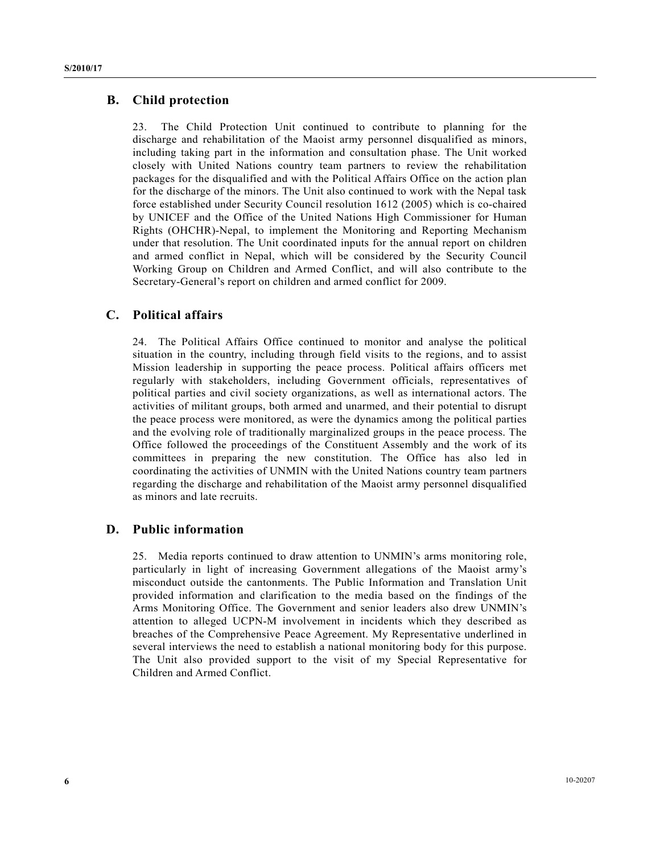#### **B. Child protection**

23. The Child Protection Unit continued to contribute to planning for the discharge and rehabilitation of the Maoist army personnel disqualified as minors, including taking part in the information and consultation phase. The Unit worked closely with United Nations country team partners to review the rehabilitation packages for the disqualified and with the Political Affairs Office on the action plan for the discharge of the minors. The Unit also continued to work with the Nepal task force established under Security Council resolution 1612 (2005) which is co-chaired by UNICEF and the Office of the United Nations High Commissioner for Human Rights (OHCHR)-Nepal, to implement the Monitoring and Reporting Mechanism under that resolution. The Unit coordinated inputs for the annual report on children and armed conflict in Nepal, which will be considered by the Security Council Working Group on Children and Armed Conflict, and will also contribute to the Secretary-General's report on children and armed conflict for 2009.

### **C. Political affairs**

24. The Political Affairs Office continued to monitor and analyse the political situation in the country, including through field visits to the regions, and to assist Mission leadership in supporting the peace process. Political affairs officers met regularly with stakeholders, including Government officials, representatives of political parties and civil society organizations, as well as international actors. The activities of militant groups, both armed and unarmed, and their potential to disrupt the peace process were monitored, as were the dynamics among the political parties and the evolving role of traditionally marginalized groups in the peace process. The Office followed the proceedings of the Constituent Assembly and the work of its committees in preparing the new constitution. The Office has also led in coordinating the activities of UNMIN with the United Nations country team partners regarding the discharge and rehabilitation of the Maoist army personnel disqualified as minors and late recruits.

### **D. Public information**

25. Media reports continued to draw attention to UNMIN's arms monitoring role, particularly in light of increasing Government allegations of the Maoist army's misconduct outside the cantonments. The Public Information and Translation Unit provided information and clarification to the media based on the findings of the Arms Monitoring Office. The Government and senior leaders also drew UNMIN's attention to alleged UCPN-M involvement in incidents which they described as breaches of the Comprehensive Peace Agreement. My Representative underlined in several interviews the need to establish a national monitoring body for this purpose. The Unit also provided support to the visit of my Special Representative for Children and Armed Conflict.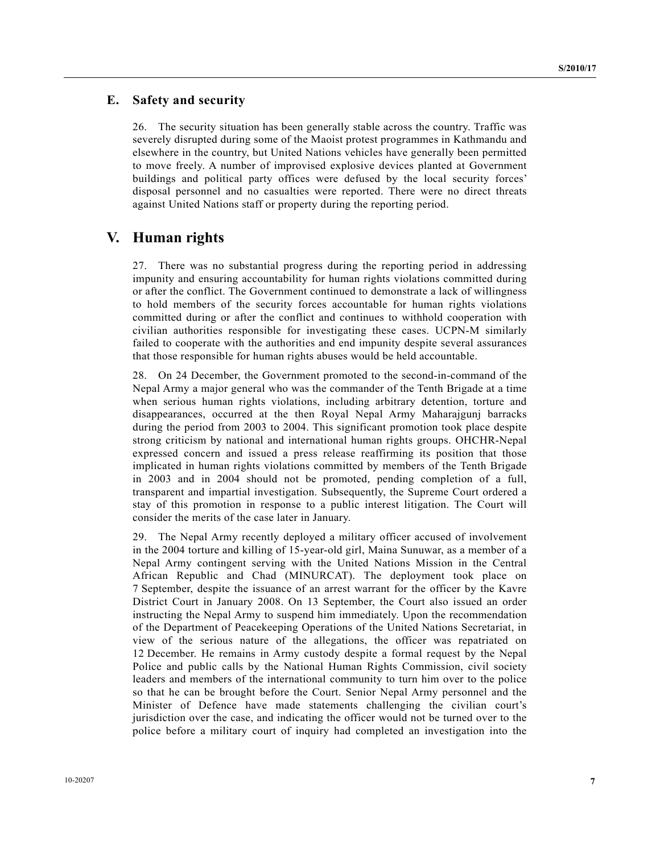### **E. Safety and security**

26. The security situation has been generally stable across the country. Traffic was severely disrupted during some of the Maoist protest programmes in Kathmandu and elsewhere in the country, but United Nations vehicles have generally been permitted to move freely. A number of improvised explosive devices planted at Government buildings and political party offices were defused by the local security forces' disposal personnel and no casualties were reported. There were no direct threats against United Nations staff or property during the reporting period.

### **V. Human rights**

27. There was no substantial progress during the reporting period in addressing impunity and ensuring accountability for human rights violations committed during or after the conflict. The Government continued to demonstrate a lack of willingness to hold members of the security forces accountable for human rights violations committed during or after the conflict and continues to withhold cooperation with civilian authorities responsible for investigating these cases. UCPN-M similarly failed to cooperate with the authorities and end impunity despite several assurances that those responsible for human rights abuses would be held accountable.

28. On 24 December, the Government promoted to the second-in-command of the Nepal Army a major general who was the commander of the Tenth Brigade at a time when serious human rights violations, including arbitrary detention, torture and disappearances, occurred at the then Royal Nepal Army Maharajgunj barracks during the period from 2003 to 2004. This significant promotion took place despite strong criticism by national and international human rights groups. OHCHR-Nepal expressed concern and issued a press release reaffirming its position that those implicated in human rights violations committed by members of the Tenth Brigade in 2003 and in 2004 should not be promoted, pending completion of a full, transparent and impartial investigation. Subsequently, the Supreme Court ordered a stay of this promotion in response to a public interest litigation. The Court will consider the merits of the case later in January.

29. The Nepal Army recently deployed a military officer accused of involvement in the 2004 torture and killing of 15-year-old girl, Maina Sunuwar, as a member of a Nepal Army contingent serving with the United Nations Mission in the Central African Republic and Chad (MINURCAT). The deployment took place on 7 September, despite the issuance of an arrest warrant for the officer by the Kavre District Court in January 2008. On 13 September, the Court also issued an order instructing the Nepal Army to suspend him immediately. Upon the recommendation of the Department of Peacekeeping Operations of the United Nations Secretariat, in view of the serious nature of the allegations, the officer was repatriated on 12 December. He remains in Army custody despite a formal request by the Nepal Police and public calls by the National Human Rights Commission, civil society leaders and members of the international community to turn him over to the police so that he can be brought before the Court. Senior Nepal Army personnel and the Minister of Defence have made statements challenging the civilian court's jurisdiction over the case, and indicating the officer would not be turned over to the police before a military court of inquiry had completed an investigation into the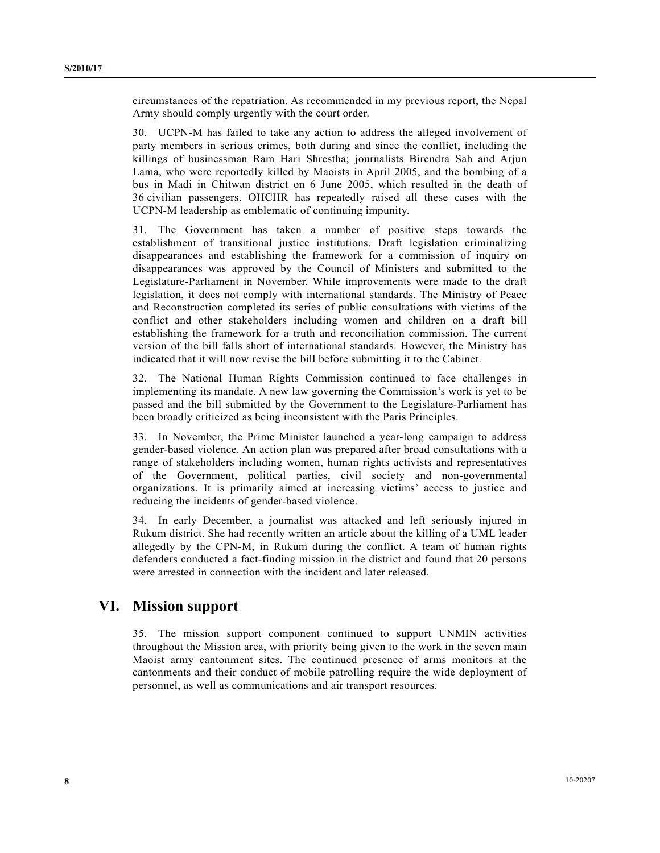circumstances of the repatriation. As recommended in my previous report, the Nepal Army should comply urgently with the court order.

30. UCPN-M has failed to take any action to address the alleged involvement of party members in serious crimes, both during and since the conflict, including the killings of businessman Ram Hari Shrestha; journalists Birendra Sah and Arjun Lama, who were reportedly killed by Maoists in April 2005, and the bombing of a bus in Madi in Chitwan district on 6 June 2005, which resulted in the death of 36 civilian passengers. OHCHR has repeatedly raised all these cases with the UCPN-M leadership as emblematic of continuing impunity.

31. The Government has taken a number of positive steps towards the establishment of transitional justice institutions. Draft legislation criminalizing disappearances and establishing the framework for a commission of inquiry on disappearances was approved by the Council of Ministers and submitted to the Legislature-Parliament in November. While improvements were made to the draft legislation, it does not comply with international standards. The Ministry of Peace and Reconstruction completed its series of public consultations with victims of the conflict and other stakeholders including women and children on a draft bill establishing the framework for a truth and reconciliation commission. The current version of the bill falls short of international standards. However, the Ministry has indicated that it will now revise the bill before submitting it to the Cabinet.

32. The National Human Rights Commission continued to face challenges in implementing its mandate. A new law governing the Commission's work is yet to be passed and the bill submitted by the Government to the Legislature-Parliament has been broadly criticized as being inconsistent with the Paris Principles.

33. In November, the Prime Minister launched a year-long campaign to address gender-based violence. An action plan was prepared after broad consultations with a range of stakeholders including women, human rights activists and representatives of the Government, political parties, civil society and non-governmental organizations. It is primarily aimed at increasing victims' access to justice and reducing the incidents of gender-based violence.

34. In early December, a journalist was attacked and left seriously injured in Rukum district. She had recently written an article about the killing of a UML leader allegedly by the CPN-M, in Rukum during the conflict. A team of human rights defenders conducted a fact-finding mission in the district and found that 20 persons were arrested in connection with the incident and later released.

### **VI. Mission support**

35. The mission support component continued to support UNMIN activities throughout the Mission area, with priority being given to the work in the seven main Maoist army cantonment sites. The continued presence of arms monitors at the cantonments and their conduct of mobile patrolling require the wide deployment of personnel, as well as communications and air transport resources.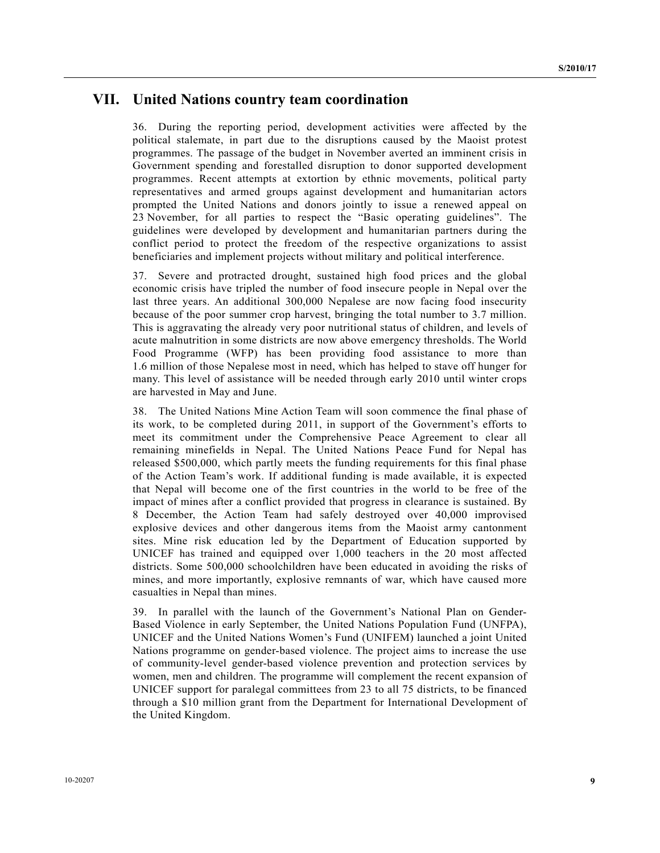### **VII. United Nations country team coordination**

36. During the reporting period, development activities were affected by the political stalemate, in part due to the disruptions caused by the Maoist protest programmes. The passage of the budget in November averted an imminent crisis in Government spending and forestalled disruption to donor supported development programmes. Recent attempts at extortion by ethnic movements, political party representatives and armed groups against development and humanitarian actors prompted the United Nations and donors jointly to issue a renewed appeal on 23 November, for all parties to respect the "Basic operating guidelines". The guidelines were developed by development and humanitarian partners during the conflict period to protect the freedom of the respective organizations to assist beneficiaries and implement projects without military and political interference.

37. Severe and protracted drought, sustained high food prices and the global economic crisis have tripled the number of food insecure people in Nepal over the last three years. An additional 300,000 Nepalese are now facing food insecurity because of the poor summer crop harvest, bringing the total number to 3.7 million. This is aggravating the already very poor nutritional status of children, and levels of acute malnutrition in some districts are now above emergency thresholds. The World Food Programme (WFP) has been providing food assistance to more than 1.6 million of those Nepalese most in need, which has helped to stave off hunger for many. This level of assistance will be needed through early 2010 until winter crops are harvested in May and June.

38. The United Nations Mine Action Team will soon commence the final phase of its work, to be completed during 2011, in support of the Government's efforts to meet its commitment under the Comprehensive Peace Agreement to clear all remaining minefields in Nepal. The United Nations Peace Fund for Nepal has released \$500,000, which partly meets the funding requirements for this final phase of the Action Team's work. If additional funding is made available, it is expected that Nepal will become one of the first countries in the world to be free of the impact of mines after a conflict provided that progress in clearance is sustained. By 8 December, the Action Team had safely destroyed over 40,000 improvised explosive devices and other dangerous items from the Maoist army cantonment sites. Mine risk education led by the Department of Education supported by UNICEF has trained and equipped over 1,000 teachers in the 20 most affected districts. Some 500,000 schoolchildren have been educated in avoiding the risks of mines, and more importantly, explosive remnants of war, which have caused more casualties in Nepal than mines.

39. In parallel with the launch of the Government's National Plan on Gender-Based Violence in early September, the United Nations Population Fund (UNFPA), UNICEF and the United Nations Women's Fund (UNIFEM) launched a joint United Nations programme on gender-based violence. The project aims to increase the use of community-level gender-based violence prevention and protection services by women, men and children. The programme will complement the recent expansion of UNICEF support for paralegal committees from 23 to all 75 districts, to be financed through a \$10 million grant from the Department for International Development of the United Kingdom.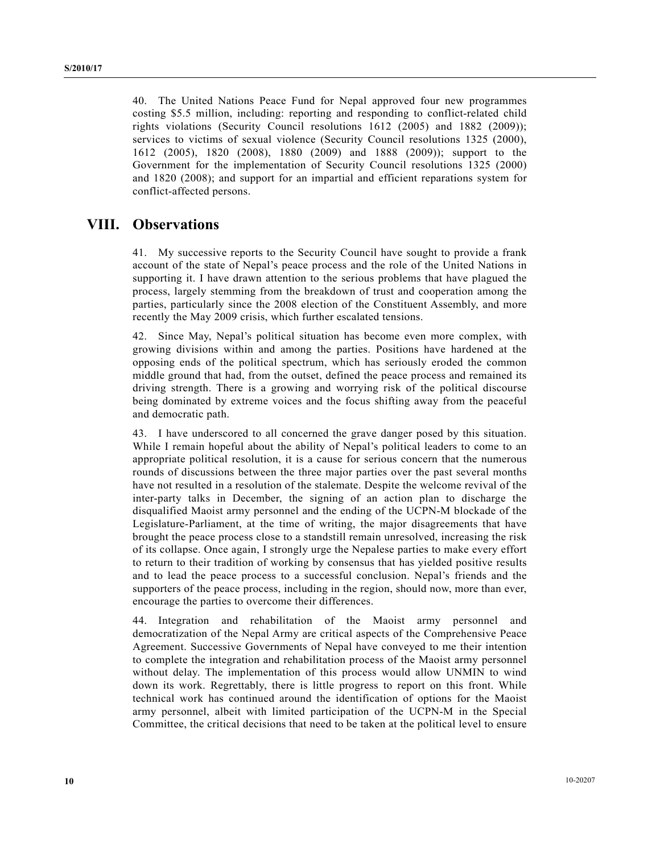40. The United Nations Peace Fund for Nepal approved four new programmes costing \$5.5 million, including: reporting and responding to conflict-related child rights violations (Security Council resolutions 1612 (2005) and 1882 (2009)); services to victims of sexual violence (Security Council resolutions 1325 (2000), 1612 (2005), 1820 (2008), 1880 (2009) and 1888 (2009)); support to the Government for the implementation of Security Council resolutions 1325 (2000) and 1820 (2008); and support for an impartial and efficient reparations system for conflict-affected persons.

## **VIII. Observations**

41. My successive reports to the Security Council have sought to provide a frank account of the state of Nepal's peace process and the role of the United Nations in supporting it. I have drawn attention to the serious problems that have plagued the process, largely stemming from the breakdown of trust and cooperation among the parties, particularly since the 2008 election of the Constituent Assembly, and more recently the May 2009 crisis, which further escalated tensions.

42. Since May, Nepal's political situation has become even more complex, with growing divisions within and among the parties. Positions have hardened at the opposing ends of the political spectrum, which has seriously eroded the common middle ground that had, from the outset, defined the peace process and remained its driving strength. There is a growing and worrying risk of the political discourse being dominated by extreme voices and the focus shifting away from the peaceful and democratic path.

43. I have underscored to all concerned the grave danger posed by this situation. While I remain hopeful about the ability of Nepal's political leaders to come to an appropriate political resolution, it is a cause for serious concern that the numerous rounds of discussions between the three major parties over the past several months have not resulted in a resolution of the stalemate. Despite the welcome revival of the inter-party talks in December, the signing of an action plan to discharge the disqualified Maoist army personnel and the ending of the UCPN-M blockade of the Legislature-Parliament, at the time of writing, the major disagreements that have brought the peace process close to a standstill remain unresolved, increasing the risk of its collapse. Once again, I strongly urge the Nepalese parties to make every effort to return to their tradition of working by consensus that has yielded positive results and to lead the peace process to a successful conclusion. Nepal's friends and the supporters of the peace process, including in the region, should now, more than ever, encourage the parties to overcome their differences.

44. Integration and rehabilitation of the Maoist army personnel and democratization of the Nepal Army are critical aspects of the Comprehensive Peace Agreement. Successive Governments of Nepal have conveyed to me their intention to complete the integration and rehabilitation process of the Maoist army personnel without delay. The implementation of this process would allow UNMIN to wind down its work. Regrettably, there is little progress to report on this front. While technical work has continued around the identification of options for the Maoist army personnel, albeit with limited participation of the UCPN-M in the Special Committee, the critical decisions that need to be taken at the political level to ensure